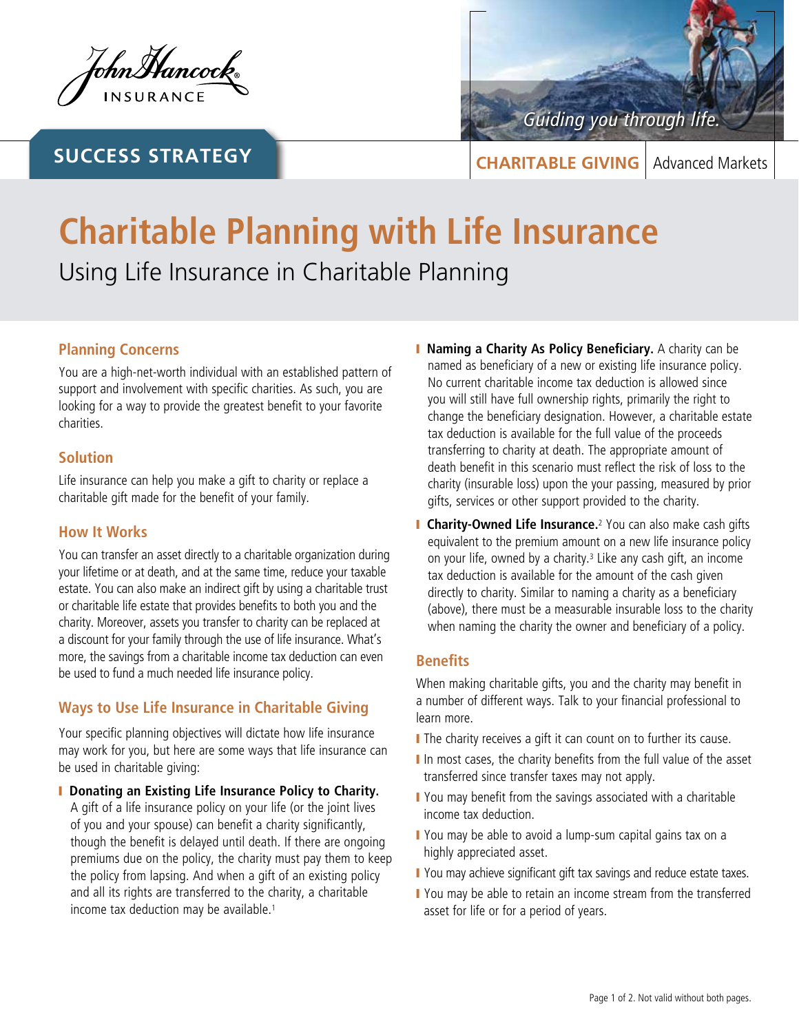

# **SUCCESS STRATEGY**



**CHARITABLE GIVING** Advanced Markets

# **Charitable Planning with Life Insurance** Using Life Insurance in Charitable Planning

## **Planning Concerns**

You are a high-net-worth individual with an established pattern of support and involvement with specific charities. As such, you are looking for a way to provide the greatest benefit to your favorite charities.

#### **Solution**

Life insurance can help you make a gift to charity or replace a charitable gift made for the benefit of your family.

#### **How It Works**

You can transfer an asset directly to a charitable organization during your lifetime or at death, and at the same time, reduce your taxable estate. You can also make an indirect gift by using a charitable trust or charitable life estate that provides benefits to both you and the charity. Moreover, assets you transfer to charity can be replaced at a discount for your family through the use of life insurance. What's more, the savings from a charitable income tax deduction can even be used to fund a much needed life insurance policy.

## **Ways to Use Life Insurance in Charitable Giving**

Your specific planning objectives will dictate how life insurance may work for you, but here are some ways that life insurance can be used in charitable giving:

**I** Donating an Existing Life Insurance Policy to Charity.

A gift of a life insurance policy on your life (or the joint lives of you and your spouse) can benefit a charity significantly, though the benefit is delayed until death. If there are ongoing premiums due on the policy, the charity must pay them to keep the policy from lapsing. And when a gift of an existing policy and all its rights are transferred to the charity, a charitable income tax deduction may be available.<sup>1</sup>

- **I Naming a Charity As Policy Beneficiary.** A charity can be named as beneficiary of a new or existing life insurance policy. No current charitable income tax deduction is allowed since you will still have full ownership rights, primarily the right to change the beneficiary designation. However, a charitable estate tax deduction is available for the full value of the proceeds transferring to charity at death. The appropriate amount of death benefit in this scenario must reflect the risk of loss to the charity (insurable loss) upon the your passing, measured by prior gifts, services or other support provided to the charity.
- **I Charity-Owned Life Insurance.**<sup>2</sup> You can also make cash gifts equivalent to the premium amount on a new life insurance policy on your life, owned by a charity.3 Like any cash gift, an income tax deduction is available for the amount of the cash given directly to charity. Similar to naming a charity as a beneficiary (above), there must be a measurable insurable loss to the charity when naming the charity the owner and beneficiary of a policy.

#### **Benefits**

When making charitable gifts, you and the charity may benefit in a number of different ways. Talk to your financial professional to learn more.

- I The charity receives a gift it can count on to further its cause.
- I In most cases, the charity benefits from the full value of the asset transferred since transfer taxes may not apply.
- I You may benefit from the savings associated with a charitable income tax deduction.
- You may be able to avoid a lump-sum capital gains tax on a highly appreciated asset.
- You may achieve significant gift tax savings and reduce estate taxes.
- I You may be able to retain an income stream from the transferred asset for life or for a period of years.